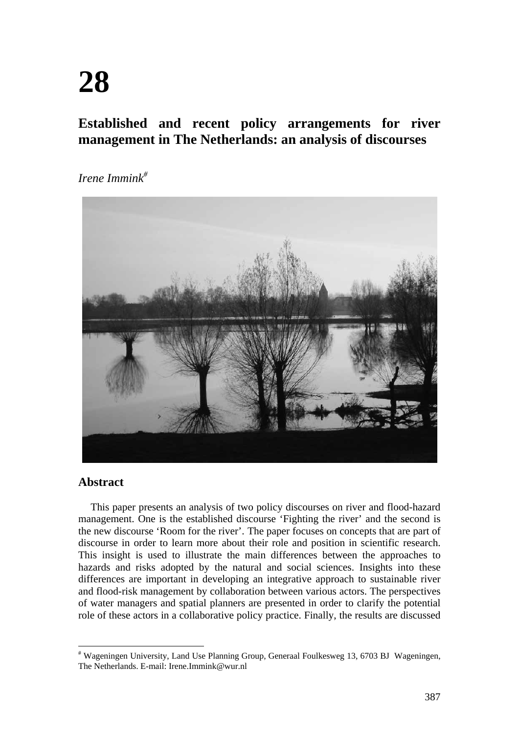# **Established and recent policy arrangements for river management in The Netherlands: an analysis of discourses**

*Irene Immink#*



## **Abstract**

This paper presents an analysis of two policy discourses on river and flood-hazard management. One is the established discourse 'Fighting the river' and the second is the new discourse 'Room for the river'. The paper focuses on concepts that are part of discourse in order to learn more about their role and position in scientific research. This insight is used to illustrate the main differences between the approaches to hazards and risks adopted by the natural and social sciences. Insights into these differences are important in developing an integrative approach to sustainable river and flood-risk management by collaboration between various actors. The perspectives of water managers and spatial planners are presented in order to clarify the potential role of these actors in a collaborative policy practice. Finally, the results are discussed

<sup>#</sup> Wageningen University, Land Use Planning Group, Generaal Foulkesweg 13, 6703 BJ Wageningen, The Netherlands. E-mail: Irene.Immink@wur.nl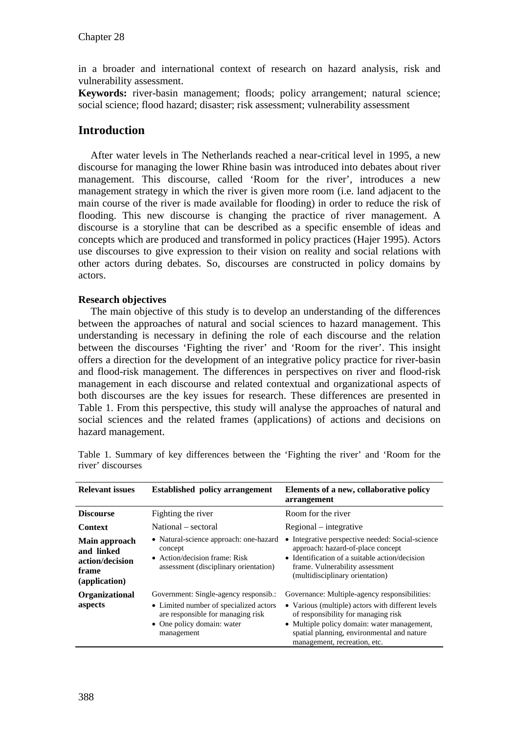in a broader and international context of research on hazard analysis, risk and vulnerability assessment.

Keywords: river-basin management; floods; policy arrangement; natural science; social science; flood hazard; disaster; risk assessment; vulnerability assessment

## **Introduction**

After water levels in The Netherlands reached a near-critical level in 1995, a new discourse for managing the lower Rhine basin was introduced into debates about river management. This discourse, called 'Room for the river', introduces a new management strategy in which the river is given more room (i.e. land adjacent to the main course of the river is made available for flooding) in order to reduce the risk of flooding. This new discourse is changing the practice of river management. A discourse is a storyline that can be described as a specific ensemble of ideas and concepts which are produced and transformed in policy practices (Hajer 1995). Actors use discourses to give expression to their vision on reality and social relations with other actors during debates. So, discourses are constructed in policy domains by actors.

#### **Research objectives**

The main objective of this study is to develop an understanding of the differences between the approaches of natural and social sciences to hazard management. This understanding is necessary in defining the role of each discourse and the relation between the discourses 'Fighting the river' and 'Room for the river'. This insight offers a direction for the development of an integrative policy practice for river-basin and flood-risk management. The differences in perspectives on river and flood-risk management in each discourse and related contextual and organizational aspects of both discourses are the key issues for research. These differences are presented in Table 1. From this perspective, this study will analyse the approaches of natural and social sciences and the related frames (applications) of actions and decisions on hazard management.

| <b>Relevant issues</b>                                                   | <b>Established policy arrangement</b>                                                                                                                            | Elements of a new, collaborative policy<br>arrangement                                                                                                                                                                                                                 |
|--------------------------------------------------------------------------|------------------------------------------------------------------------------------------------------------------------------------------------------------------|------------------------------------------------------------------------------------------------------------------------------------------------------------------------------------------------------------------------------------------------------------------------|
| <b>Discourse</b>                                                         | Fighting the river                                                                                                                                               | Room for the river                                                                                                                                                                                                                                                     |
| <b>Context</b>                                                           | National – sectoral                                                                                                                                              | Regional – integrative                                                                                                                                                                                                                                                 |
| Main approach<br>and linked<br>action/decision<br>frame<br>(application) | • Natural-science approach: one-hazard<br>concept<br>• Action/decision frame: Risk<br>assessment (disciplinary orientation)                                      | • Integrative perspective needed: Social-science<br>approach: hazard-of-place concept<br>• Identification of a suitable action/decision<br>frame. Vulnerability assessment<br>(multidisciplinary orientation)                                                          |
| <b>Organizational</b><br>aspects                                         | Government: Single-agency responsib.:<br>• Limited number of specialized actors<br>are responsible for managing risk<br>• One policy domain: water<br>management | Governance: Multiple-agency responsibilities:<br>• Various (multiple) actors with different levels<br>of responsibility for managing risk<br>• Multiple policy domain: water management,<br>spatial planning, environmental and nature<br>management, recreation, etc. |

Table 1. Summary of key differences between the 'Fighting the river' and 'Room for the river' discourses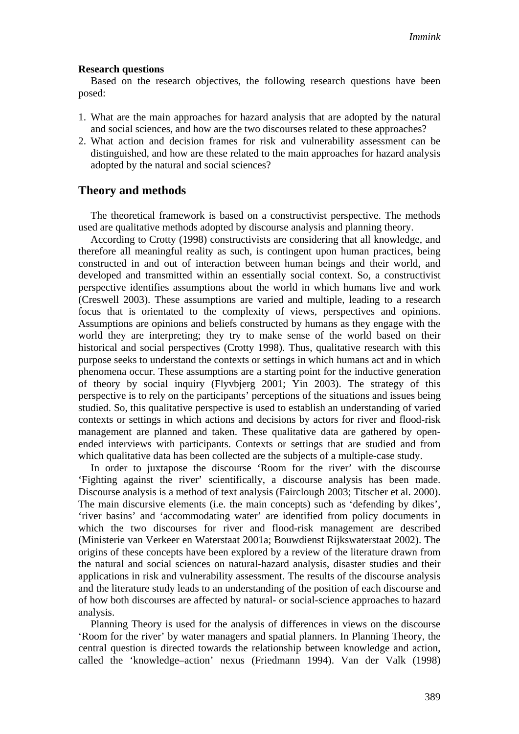#### **Research questions**

Based on the research objectives, the following research questions have been posed:

- 1. What are the main approaches for hazard analysis that are adopted by the natural and social sciences, and how are the two discourses related to these approaches?
- 2. What action and decision frames for risk and vulnerability assessment can be distinguished, and how are these related to the main approaches for hazard analysis adopted by the natural and social sciences?

## **Theory and methods**

The theoretical framework is based on a constructivist perspective. The methods used are qualitative methods adopted by discourse analysis and planning theory.

According to Crotty (1998) constructivists are considering that all knowledge, and therefore all meaningful reality as such, is contingent upon human practices, being constructed in and out of interaction between human beings and their world, and developed and transmitted within an essentially social context. So, a constructivist perspective identifies assumptions about the world in which humans live and work (Creswell 2003). These assumptions are varied and multiple, leading to a research focus that is orientated to the complexity of views, perspectives and opinions. Assumptions are opinions and beliefs constructed by humans as they engage with the world they are interpreting; they try to make sense of the world based on their historical and social perspectives (Crotty 1998). Thus, qualitative research with this purpose seeks to understand the contexts or settings in which humans act and in which phenomena occur. These assumptions are a starting point for the inductive generation of theory by social inquiry (Flyvbjerg 2001; Yin 2003). The strategy of this perspective is to rely on the participants' perceptions of the situations and issues being studied. So, this qualitative perspective is used to establish an understanding of varied contexts or settings in which actions and decisions by actors for river and flood-risk management are planned and taken. These qualitative data are gathered by openended interviews with participants. Contexts or settings that are studied and from which qualitative data has been collected are the subjects of a multiple-case study.

In order to juxtapose the discourse 'Room for the river' with the discourse 'Fighting against the river' scientifically, a discourse analysis has been made. Discourse analysis is a method of text analysis (Fairclough 2003; Titscher et al. 2000). The main discursive elements (i.e. the main concepts) such as 'defending by dikes', 'river basins' and 'accommodating water' are identified from policy documents in which the two discourses for river and flood-risk management are described (Ministerie van Verkeer en Waterstaat 2001a; Bouwdienst Rijkswaterstaat 2002). The origins of these concepts have been explored by a review of the literature drawn from the natural and social sciences on natural-hazard analysis, disaster studies and their applications in risk and vulnerability assessment. The results of the discourse analysis and the literature study leads to an understanding of the position of each discourse and of how both discourses are affected by natural- or social-science approaches to hazard analysis.

Planning Theory is used for the analysis of differences in views on the discourse 'Room for the river' by water managers and spatial planners. In Planning Theory, the central question is directed towards the relationship between knowledge and action, called the 'knowledge–action' nexus (Friedmann 1994). Van der Valk (1998)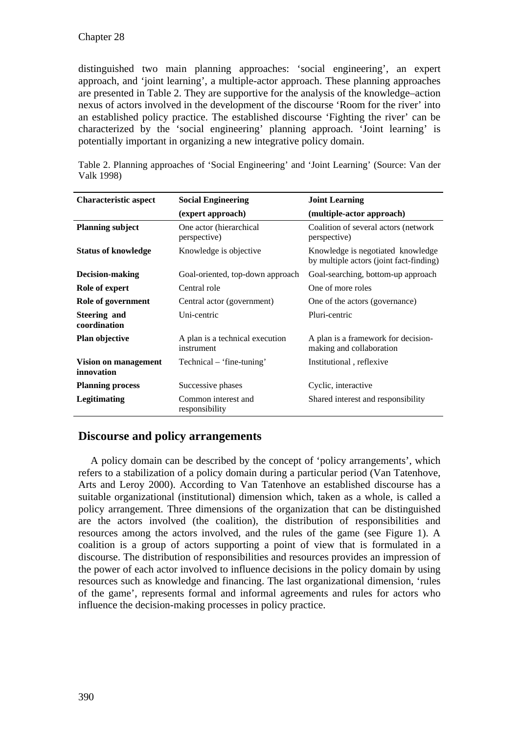distinguished two main planning approaches: 'social engineering', an expert approach, and 'joint learning', a multiple-actor approach. These planning approaches are presented in Table 2. They are supportive for the analysis of the knowledge–action nexus of actors involved in the development of the discourse 'Room for the river' into an established policy practice. The established discourse 'Fighting the river' can be characterized by the 'social engineering' planning approach. 'Joint learning' is potentially important in organizing a new integrative policy domain.

| <b>Characteristic aspect</b>       | <b>Social Engineering</b>                     | <b>Joint Learning</b>                                                        |
|------------------------------------|-----------------------------------------------|------------------------------------------------------------------------------|
|                                    | (expert approach)                             | (multiple-actor approach)                                                    |
|                                    |                                               |                                                                              |
| <b>Planning subject</b>            | One actor (hierarchical<br>perspective)       | Coalition of several actors (network)<br>perspective)                        |
| <b>Status of knowledge</b>         | Knowledge is objective                        | Knowledge is negotiated knowledge<br>by multiple actors (joint fact-finding) |
| <b>Decision-making</b>             | Goal-oriented, top-down approach              | Goal-searching, bottom-up approach                                           |
| Role of expert                     | Central role                                  | One of more roles                                                            |
| Role of government                 | Central actor (government)                    | One of the actors (governance)                                               |
| Steering and<br>coordination       | Uni-centric                                   | Pluri-centric                                                                |
| Plan objective                     | A plan is a technical execution<br>instrument | A plan is a framework for decision-<br>making and collaboration              |
| Vision on management<br>innovation | Technical – 'fine-tuning'                     | Institutional, reflexive                                                     |
| <b>Planning process</b>            | Successive phases                             | Cyclic, interactive                                                          |
| Legitimating                       | Common interest and<br>responsibility         | Shared interest and responsibility                                           |

Table 2. Planning approaches of 'Social Engineering' and 'Joint Learning' (Source: Van der Valk 1998)

## **Discourse and policy arrangements**

A policy domain can be described by the concept of 'policy arrangements', which refers to a stabilization of a policy domain during a particular period (Van Tatenhove, Arts and Leroy 2000). According to Van Tatenhove an established discourse has a suitable organizational (institutional) dimension which, taken as a whole, is called a policy arrangement. Three dimensions of the organization that can be distinguished are the actors involved (the coalition), the distribution of responsibilities and resources among the actors involved, and the rules of the game (see Figure 1). A coalition is a group of actors supporting a point of view that is formulated in a discourse. The distribution of responsibilities and resources provides an impression of the power of each actor involved to influence decisions in the policy domain by using resources such as knowledge and financing. The last organizational dimension, 'rules of the game', represents formal and informal agreements and rules for actors who influence the decision-making processes in policy practice.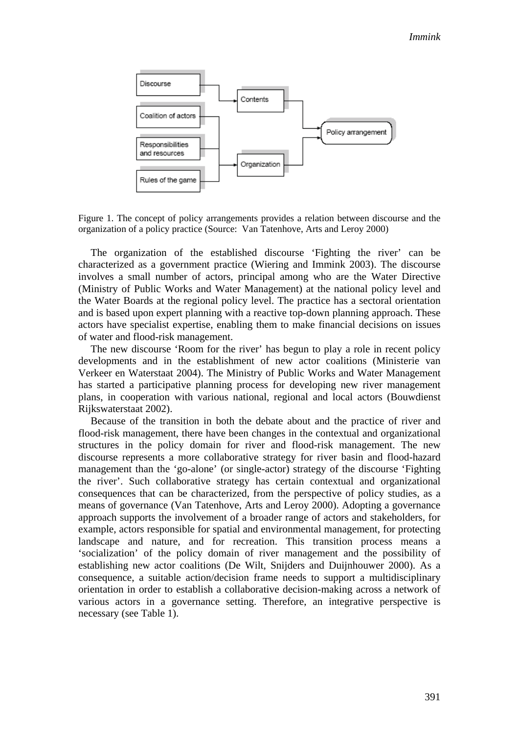

Figure 1. The concept of policy arrangements provides a relation between discourse and the organization of a policy practice (Source: Van Tatenhove, Arts and Leroy 2000)

The organization of the established discourse 'Fighting the river' can be characterized as a government practice (Wiering and Immink 2003). The discourse involves a small number of actors, principal among who are the Water Directive (Ministry of Public Works and Water Management) at the national policy level and the Water Boards at the regional policy level. The practice has a sectoral orientation and is based upon expert planning with a reactive top-down planning approach. These actors have specialist expertise, enabling them to make financial decisions on issues of water and flood-risk management.

The new discourse 'Room for the river' has begun to play a role in recent policy developments and in the establishment of new actor coalitions (Ministerie van Verkeer en Waterstaat 2004). The Ministry of Public Works and Water Management has started a participative planning process for developing new river management plans, in cooperation with various national, regional and local actors (Bouwdienst Rijkswaterstaat 2002).

Because of the transition in both the debate about and the practice of river and flood-risk management, there have been changes in the contextual and organizational structures in the policy domain for river and flood-risk management. The new discourse represents a more collaborative strategy for river basin and flood-hazard management than the 'go-alone' (or single-actor) strategy of the discourse 'Fighting the river'. Such collaborative strategy has certain contextual and organizational consequences that can be characterized, from the perspective of policy studies, as a means of governance (Van Tatenhove, Arts and Leroy 2000). Adopting a governance approach supports the involvement of a broader range of actors and stakeholders, for example, actors responsible for spatial and environmental management, for protecting landscape and nature, and for recreation. This transition process means a 'socialization' of the policy domain of river management and the possibility of establishing new actor coalitions (De Wilt, Snijders and Duijnhouwer 2000). As a consequence, a suitable action/decision frame needs to support a multidisciplinary orientation in order to establish a collaborative decision-making across a network of various actors in a governance setting. Therefore, an integrative perspective is necessary (see Table 1).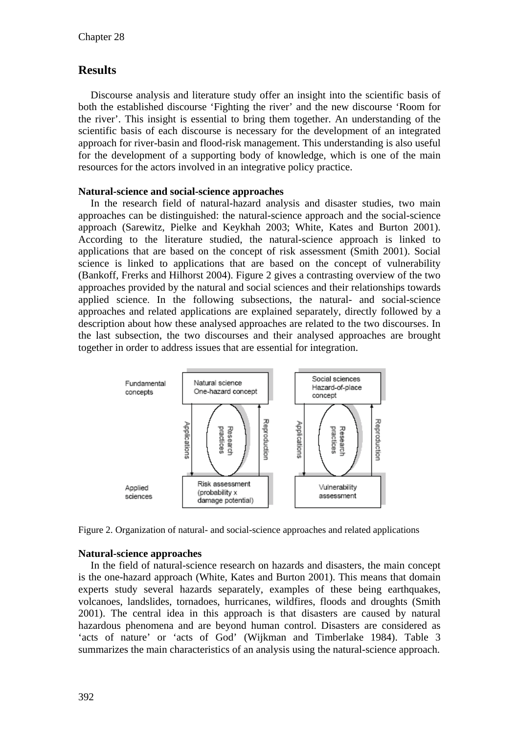## **Results**

Discourse analysis and literature study offer an insight into the scientific basis of both the established discourse 'Fighting the river' and the new discourse 'Room for the river'. This insight is essential to bring them together. An understanding of the scientific basis of each discourse is necessary for the development of an integrated approach for river-basin and flood-risk management. This understanding is also useful for the development of a supporting body of knowledge, which is one of the main resources for the actors involved in an integrative policy practice.

#### **Natural-science and social-science approaches**

In the research field of natural-hazard analysis and disaster studies, two main approaches can be distinguished: the natural-science approach and the social-science approach (Sarewitz, Pielke and Keykhah 2003; White, Kates and Burton 2001). According to the literature studied, the natural-science approach is linked to applications that are based on the concept of risk assessment (Smith 2001). Social science is linked to applications that are based on the concept of vulnerability (Bankoff, Frerks and Hilhorst 2004). Figure 2 gives a contrasting overview of the two approaches provided by the natural and social sciences and their relationships towards applied science. In the following subsections, the natural- and social-science approaches and related applications are explained separately, directly followed by a description about how these analysed approaches are related to the two discourses. In the last subsection, the two discourses and their analysed approaches are brought together in order to address issues that are essential for integration.



Figure 2. Organization of natural- and social-science approaches and related applications

## **Natural-science approaches**

In the field of natural-science research on hazards and disasters, the main concept is the one-hazard approach (White, Kates and Burton 2001). This means that domain experts study several hazards separately, examples of these being earthquakes, volcanoes, landslides, tornadoes, hurricanes, wildfires, floods and droughts (Smith 2001). The central idea in this approach is that disasters are caused by natural hazardous phenomena and are beyond human control. Disasters are considered as 'acts of nature' or 'acts of God' (Wijkman and Timberlake 1984). Table 3 summarizes the main characteristics of an analysis using the natural-science approach.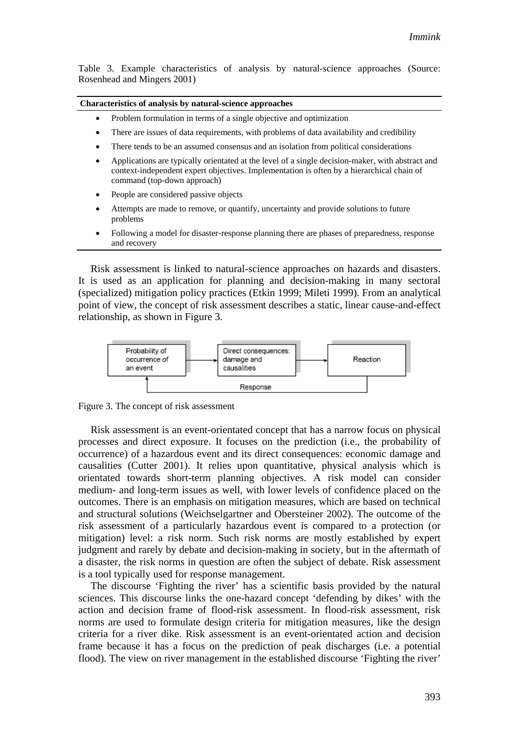Table 3. Example characteristics of analysis by natural-science approaches (Source: Rosenhead and Mingers 2001)

**Characteristics of analysis by natural-science approaches** 

- Problem formulation in terms of a single objective and optimization
- There are issues of data requirements, with problems of data availability and credibility
- There tends to be an assumed consensus and an isolation from political considerations
- Applications are typically orientated at the level of a single decision-maker, with abstract and context-independent expert objectives. Implementation is often by a hierarchical chain of command (top-down approach)
- People are considered passive objects
- Attempts are made to remove, or quantify, uncertainty and provide solutions to future problems
- Following a model for disaster-response planning there are phases of preparedness, response and recovery

Risk assessment is linked to natural-science approaches on hazards and disasters. It is used as an application for planning and decision-making in many sectoral (specialized) mitigation policy practices (Etkin 1999; Mileti 1999). From an analytical point of view, the concept of risk assessment describes a static, linear cause-and-effect relationship, as shown in Figure 3.



Figure 3. The concept of risk assessment

Risk assessment is an event-orientated concept that has a narrow focus on physical processes and direct exposure. It focuses on the prediction (i.e., the probability of occurrence) of a hazardous event and its direct consequences: economic damage and causalities (Cutter 2001). It relies upon quantitative, physical analysis which is orientated towards short-term planning objectives. A risk model can consider medium- and long-term issues as well, with lower levels of confidence placed on the outcomes. There is an emphasis on mitigation measures, which are based on technical and structural solutions (Weichselgartner and Obersteiner 2002). The outcome of the risk assessment of a particularly hazardous event is compared to a protection (or mitigation) level: a risk norm. Such risk norms are mostly established by expert judgment and rarely by debate and decision-making in society, but in the aftermath of a disaster, the risk norms in question are often the subject of debate. Risk assessment is a tool typically used for response management.

The discourse 'Fighting the river' has a scientific basis provided by the natural sciences. This discourse links the one-hazard concept 'defending by dikes' with the action and decision frame of flood-risk assessment. In flood-risk assessment, risk norms are used to formulate design criteria for mitigation measures, like the design criteria for a river dike. Risk assessment is an event-orientated action and decision frame because it has a focus on the prediction of peak discharges (i.e. a potential flood). The view on river management in the established discourse 'Fighting the river'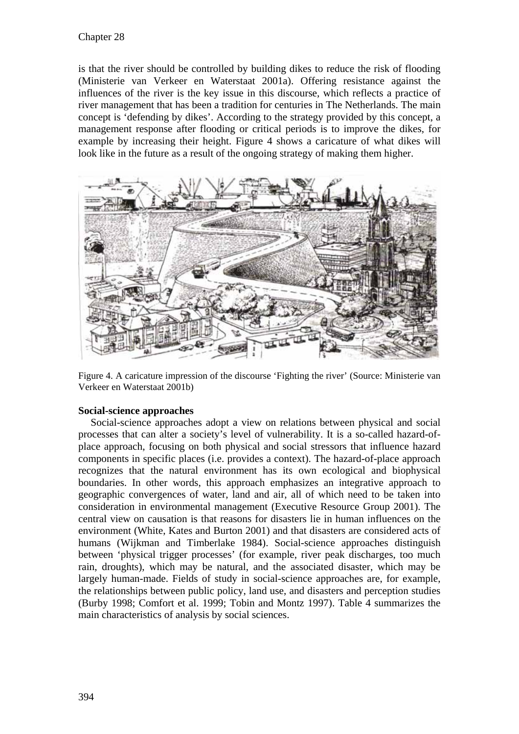is that the river should be controlled by building dikes to reduce the risk of flooding (Ministerie van Verkeer en Waterstaat 2001a). Offering resistance against the influences of the river is the key issue in this discourse, which reflects a practice of river management that has been a tradition for centuries in The Netherlands. The main concept is 'defending by dikes'. According to the strategy provided by this concept, a management response after flooding or critical periods is to improve the dikes, for example by increasing their height. Figure 4 shows a caricature of what dikes will look like in the future as a result of the ongoing strategy of making them higher.



Figure 4. A caricature impression of the discourse 'Fighting the river' (Source: Ministerie van Verkeer en Waterstaat 2001b)

## **Social-science approaches**

Social-science approaches adopt a view on relations between physical and social processes that can alter a society's level of vulnerability. It is a so-called hazard-ofplace approach, focusing on both physical and social stressors that influence hazard components in specific places (i.e. provides a context). The hazard-of-place approach recognizes that the natural environment has its own ecological and biophysical boundaries. In other words, this approach emphasizes an integrative approach to geographic convergences of water, land and air, all of which need to be taken into consideration in environmental management (Executive Resource Group 2001). The central view on causation is that reasons for disasters lie in human influences on the environment (White, Kates and Burton 2001) and that disasters are considered acts of humans (Wijkman and Timberlake 1984). Social-science approaches distinguish between 'physical trigger processes' (for example, river peak discharges, too much rain, droughts), which may be natural, and the associated disaster, which may be largely human-made. Fields of study in social-science approaches are, for example, the relationships between public policy, land use, and disasters and perception studies (Burby 1998; Comfort et al. 1999; Tobin and Montz 1997). Table 4 summarizes the main characteristics of analysis by social sciences.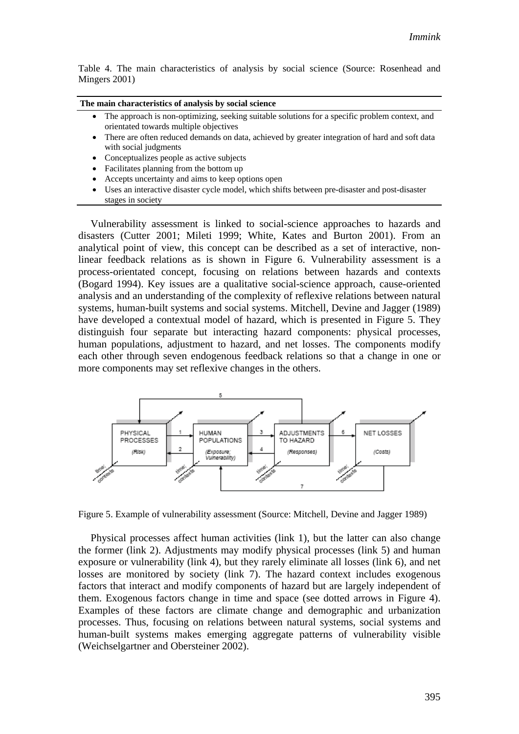Table 4. The main characteristics of analysis by social science (Source: Rosenhead and Mingers 2001)

| The main characteristics of analysis by social science |  |  |  |
|--------------------------------------------------------|--|--|--|
|--------------------------------------------------------|--|--|--|

- The approach is non-optimizing, seeking suitable solutions for a specific problem context, and orientated towards multiple objectives
- There are often reduced demands on data, achieved by greater integration of hard and soft data with social judgments
- Conceptualizes people as active subjects
- $\bullet$  Facilitates planning from the bottom up
- Accepts uncertainty and aims to keep options open
- Uses an interactive disaster cycle model, which shifts between pre-disaster and post-disaster stages in society

Vulnerability assessment is linked to social-science approaches to hazards and disasters (Cutter 2001; Mileti 1999; White, Kates and Burton 2001). From an analytical point of view, this concept can be described as a set of interactive, nonlinear feedback relations as is shown in Figure 6. Vulnerability assessment is a process-orientated concept, focusing on relations between hazards and contexts (Bogard 1994). Key issues are a qualitative social-science approach, cause-oriented analysis and an understanding of the complexity of reflexive relations between natural systems, human-built systems and social systems. Mitchell, Devine and Jagger (1989) have developed a contextual model of hazard, which is presented in Figure 5. They distinguish four separate but interacting hazard components: physical processes, human populations, adjustment to hazard, and net losses. The components modify each other through seven endogenous feedback relations so that a change in one or more components may set reflexive changes in the others.



Figure 5. Example of vulnerability assessment (Source: Mitchell, Devine and Jagger 1989)

Physical processes affect human activities (link 1), but the latter can also change the former (link 2). Adjustments may modify physical processes (link 5) and human exposure or vulnerability (link 4), but they rarely eliminate all losses (link 6), and net losses are monitored by society (link 7). The hazard context includes exogenous factors that interact and modify components of hazard but are largely independent of them. Exogenous factors change in time and space (see dotted arrows in Figure 4). Examples of these factors are climate change and demographic and urbanization processes. Thus, focusing on relations between natural systems, social systems and human-built systems makes emerging aggregate patterns of vulnerability visible (Weichselgartner and Obersteiner 2002).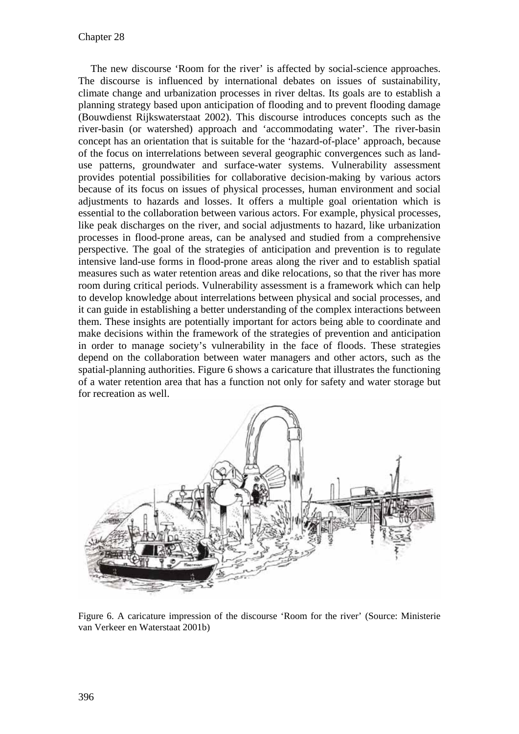The new discourse 'Room for the river' is affected by social-science approaches. The discourse is influenced by international debates on issues of sustainability, climate change and urbanization processes in river deltas. Its goals are to establish a planning strategy based upon anticipation of flooding and to prevent flooding damage (Bouwdienst Rijkswaterstaat 2002). This discourse introduces concepts such as the river-basin (or watershed) approach and 'accommodating water'. The river-basin concept has an orientation that is suitable for the 'hazard-of-place' approach, because of the focus on interrelations between several geographic convergences such as landuse patterns, groundwater and surface-water systems. Vulnerability assessment provides potential possibilities for collaborative decision-making by various actors because of its focus on issues of physical processes, human environment and social adjustments to hazards and losses. It offers a multiple goal orientation which is essential to the collaboration between various actors. For example, physical processes, like peak discharges on the river, and social adjustments to hazard, like urbanization processes in flood-prone areas, can be analysed and studied from a comprehensive perspective. The goal of the strategies of anticipation and prevention is to regulate intensive land-use forms in flood-prone areas along the river and to establish spatial measures such as water retention areas and dike relocations, so that the river has more room during critical periods. Vulnerability assessment is a framework which can help to develop knowledge about interrelations between physical and social processes, and it can guide in establishing a better understanding of the complex interactions between them. These insights are potentially important for actors being able to coordinate and make decisions within the framework of the strategies of prevention and anticipation in order to manage society's vulnerability in the face of floods. These strategies depend on the collaboration between water managers and other actors, such as the spatial-planning authorities. Figure 6 shows a caricature that illustrates the functioning of a water retention area that has a function not only for safety and water storage but for recreation as well.



Figure 6. A caricature impression of the discourse 'Room for the river' (Source: Ministerie van Verkeer en Waterstaat 2001b)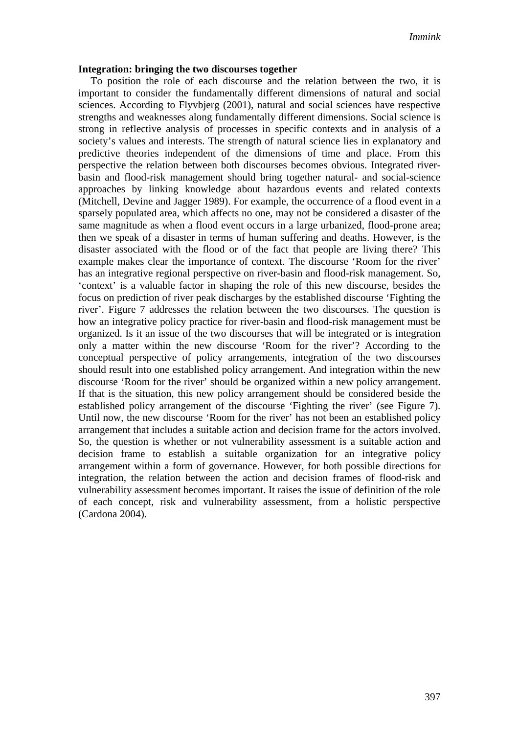#### **Integration: bringing the two discourses together**

To position the role of each discourse and the relation between the two, it is important to consider the fundamentally different dimensions of natural and social sciences. According to Flyvbjerg (2001), natural and social sciences have respective strengths and weaknesses along fundamentally different dimensions. Social science is strong in reflective analysis of processes in specific contexts and in analysis of a society's values and interests. The strength of natural science lies in explanatory and predictive theories independent of the dimensions of time and place. From this perspective the relation between both discourses becomes obvious. Integrated riverbasin and flood-risk management should bring together natural- and social-science approaches by linking knowledge about hazardous events and related contexts (Mitchell, Devine and Jagger 1989). For example, the occurrence of a flood event in a sparsely populated area, which affects no one, may not be considered a disaster of the same magnitude as when a flood event occurs in a large urbanized, flood-prone area; then we speak of a disaster in terms of human suffering and deaths. However, is the disaster associated with the flood or of the fact that people are living there? This example makes clear the importance of context. The discourse 'Room for the river' has an integrative regional perspective on river-basin and flood-risk management. So, 'context' is a valuable factor in shaping the role of this new discourse, besides the focus on prediction of river peak discharges by the established discourse 'Fighting the river'. Figure 7 addresses the relation between the two discourses. The question is how an integrative policy practice for river-basin and flood-risk management must be organized. Is it an issue of the two discourses that will be integrated or is integration only a matter within the new discourse 'Room for the river'? According to the conceptual perspective of policy arrangements, integration of the two discourses should result into one established policy arrangement. And integration within the new discourse 'Room for the river' should be organized within a new policy arrangement. If that is the situation, this new policy arrangement should be considered beside the established policy arrangement of the discourse 'Fighting the river' (see Figure 7). Until now, the new discourse 'Room for the river' has not been an established policy arrangement that includes a suitable action and decision frame for the actors involved. So, the question is whether or not vulnerability assessment is a suitable action and decision frame to establish a suitable organization for an integrative policy arrangement within a form of governance. However, for both possible directions for integration, the relation between the action and decision frames of flood-risk and vulnerability assessment becomes important. It raises the issue of definition of the role of each concept, risk and vulnerability assessment, from a holistic perspective (Cardona 2004).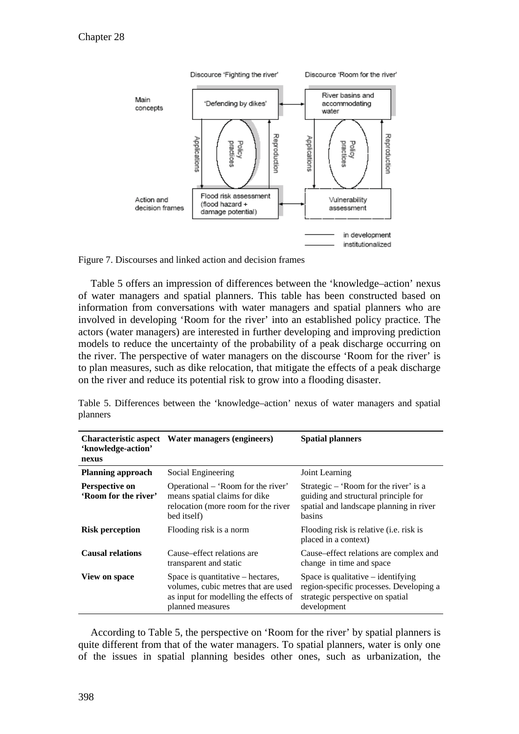



Table 5 offers an impression of differences between the 'knowledge–action' nexus of water managers and spatial planners. This table has been constructed based on information from conversations with water managers and spatial planners who are involved in developing 'Room for the river' into an established policy practice. The actors (water managers) are interested in further developing and improving prediction models to reduce the uncertainty of the probability of a peak discharge occurring on the river. The perspective of water managers on the discourse 'Room for the river' is to plan measures, such as dike relocation, that mitigate the effects of a peak discharge on the river and reduce its potential risk to grow into a flooding disaster.

Table 5. Differences between the 'knowledge–action' nexus of water managers and spatial planners

| <b>Characteristic aspect</b><br>'knowledge-action'<br>nexus | Water managers (engineers)                                                                                                            | <b>Spatial planners</b>                                                                                                            |
|-------------------------------------------------------------|---------------------------------------------------------------------------------------------------------------------------------------|------------------------------------------------------------------------------------------------------------------------------------|
| <b>Planning approach</b>                                    | Social Engineering                                                                                                                    | Joint Learning                                                                                                                     |
| <b>Perspective on</b><br>'Room for the river'               | Operational – 'Room for the river'<br>means spatial claims for dike<br>relocation (more room for the river<br>bed itself)             | Strategic – 'Room for the river' is a<br>guiding and structural principle for<br>spatial and landscape planning in river<br>basins |
| <b>Risk perception</b>                                      | Flooding risk is a norm                                                                                                               | Flooding risk is relative ( <i>i.e.</i> risk is<br>placed in a context)                                                            |
| <b>Causal relations</b>                                     | Cause–effect relations are<br>transparent and static                                                                                  | Cause–effect relations are complex and<br>change in time and space                                                                 |
| <b>View on space</b>                                        | Space is quantitative – hectares,<br>volumes, cubic metres that are used<br>as input for modelling the effects of<br>planned measures | Space is qualitative $-$ identifying<br>region-specific processes. Developing a<br>strategic perspective on spatial<br>development |

According to Table 5, the perspective on 'Room for the river' by spatial planners is quite different from that of the water managers. To spatial planners, water is only one of the issues in spatial planning besides other ones, such as urbanization, the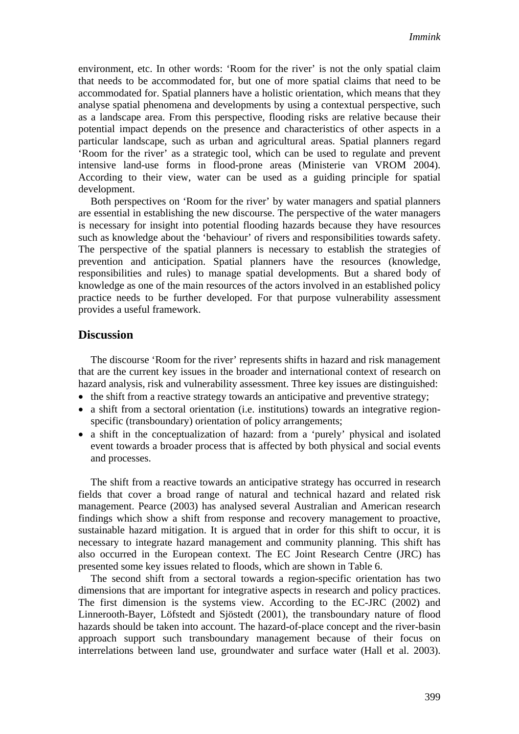environment, etc. In other words: 'Room for the river' is not the only spatial claim that needs to be accommodated for, but one of more spatial claims that need to be accommodated for. Spatial planners have a holistic orientation, which means that they analyse spatial phenomena and developments by using a contextual perspective, such as a landscape area. From this perspective, flooding risks are relative because their potential impact depends on the presence and characteristics of other aspects in a particular landscape, such as urban and agricultural areas. Spatial planners regard 'Room for the river' as a strategic tool, which can be used to regulate and prevent intensive land-use forms in flood-prone areas (Ministerie van VROM 2004). According to their view, water can be used as a guiding principle for spatial development.

Both perspectives on 'Room for the river' by water managers and spatial planners are essential in establishing the new discourse. The perspective of the water managers is necessary for insight into potential flooding hazards because they have resources such as knowledge about the 'behaviour' of rivers and responsibilities towards safety. The perspective of the spatial planners is necessary to establish the strategies of prevention and anticipation. Spatial planners have the resources (knowledge, responsibilities and rules) to manage spatial developments. But a shared body of knowledge as one of the main resources of the actors involved in an established policy practice needs to be further developed. For that purpose vulnerability assessment provides a useful framework.

## **Discussion**

The discourse 'Room for the river' represents shifts in hazard and risk management that are the current key issues in the broader and international context of research on hazard analysis, risk and vulnerability assessment. Three key issues are distinguished:

- $\bullet$  the shift from a reactive strategy towards an anticipative and preventive strategy;
- $\bullet$  a shift from a sectoral orientation (i.e. institutions) towards an integrative regionspecific (transboundary) orientation of policy arrangements;
- a shift in the conceptualization of hazard: from a 'purely' physical and isolated event towards a broader process that is affected by both physical and social events and processes.

The shift from a reactive towards an anticipative strategy has occurred in research fields that cover a broad range of natural and technical hazard and related risk management. Pearce (2003) has analysed several Australian and American research findings which show a shift from response and recovery management to proactive, sustainable hazard mitigation. It is argued that in order for this shift to occur, it is necessary to integrate hazard management and community planning. This shift has also occurred in the European context. The EC Joint Research Centre (JRC) has presented some key issues related to floods, which are shown in Table 6.

The second shift from a sectoral towards a region-specific orientation has two dimensions that are important for integrative aspects in research and policy practices. The first dimension is the systems view. According to the EC-JRC (2002) and Linnerooth-Bayer, Löfstedt and Sjöstedt (2001), the transboundary nature of flood hazards should be taken into account. The hazard-of-place concept and the river-basin approach support such transboundary management because of their focus on interrelations between land use, groundwater and surface water (Hall et al. 2003).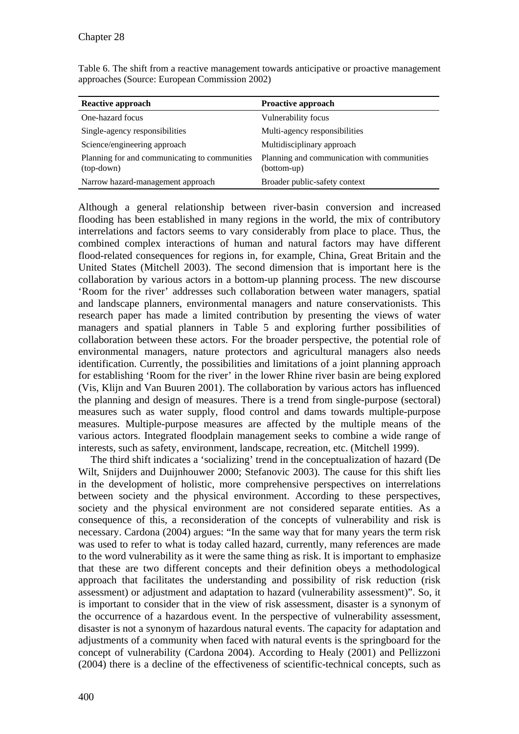| <b>Reactive approach</b>                                      | <b>Proactive approach</b>                                  |
|---------------------------------------------------------------|------------------------------------------------------------|
| One-hazard focus                                              | Vulnerability focus                                        |
| Single-agency responsibilities                                | Multi-agency responsibilities                              |
| Science/engineering approach                                  | Multidisciplinary approach                                 |
| Planning for and communicating to communities<br>$(top-down)$ | Planning and communication with communities<br>(bottom-up) |
| Narrow hazard-management approach                             | Broader public-safety context                              |

Table 6. The shift from a reactive management towards anticipative or proactive management approaches (Source: European Commission 2002)

Although a general relationship between river-basin conversion and increased flooding has been established in many regions in the world, the mix of contributory interrelations and factors seems to vary considerably from place to place. Thus, the combined complex interactions of human and natural factors may have different flood-related consequences for regions in, for example, China, Great Britain and the United States (Mitchell 2003). The second dimension that is important here is the collaboration by various actors in a bottom-up planning process. The new discourse 'Room for the river' addresses such collaboration between water managers, spatial and landscape planners, environmental managers and nature conservationists. This research paper has made a limited contribution by presenting the views of water managers and spatial planners in Table 5 and exploring further possibilities of collaboration between these actors. For the broader perspective, the potential role of environmental managers, nature protectors and agricultural managers also needs identification. Currently, the possibilities and limitations of a joint planning approach for establishing 'Room for the river' in the lower Rhine river basin are being explored (Vis, Klijn and Van Buuren 2001). The collaboration by various actors has influenced the planning and design of measures. There is a trend from single-purpose (sectoral) measures such as water supply, flood control and dams towards multiple-purpose measures. Multiple-purpose measures are affected by the multiple means of the various actors. Integrated floodplain management seeks to combine a wide range of interests, such as safety, environment, landscape, recreation, etc. (Mitchell 1999).

The third shift indicates a 'socializing' trend in the conceptualization of hazard (De Wilt, Snijders and Duijnhouwer 2000; Stefanovic 2003). The cause for this shift lies in the development of holistic, more comprehensive perspectives on interrelations between society and the physical environment. According to these perspectives, society and the physical environment are not considered separate entities. As a consequence of this, a reconsideration of the concepts of vulnerability and risk is necessary. Cardona (2004) argues: "In the same way that for many years the term risk was used to refer to what is today called hazard, currently, many references are made to the word vulnerability as it were the same thing as risk. It is important to emphasize that these are two different concepts and their definition obeys a methodological approach that facilitates the understanding and possibility of risk reduction (risk assessment) or adjustment and adaptation to hazard (vulnerability assessment)". So, it is important to consider that in the view of risk assessment, disaster is a synonym of the occurrence of a hazardous event. In the perspective of vulnerability assessment, disaster is not a synonym of hazardous natural events. The capacity for adaptation and adjustments of a community when faced with natural events is the springboard for the concept of vulnerability (Cardona 2004). According to Healy (2001) and Pellizzoni (2004) there is a decline of the effectiveness of scientific-technical concepts, such as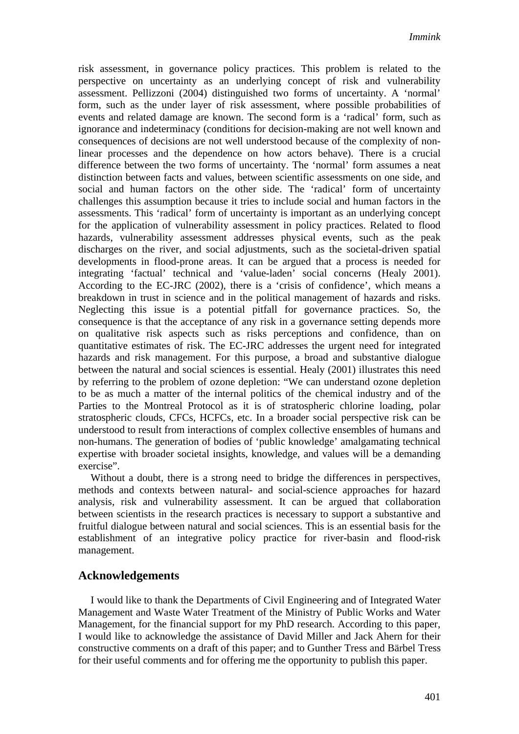risk assessment, in governance policy practices. This problem is related to the perspective on uncertainty as an underlying concept of risk and vulnerability assessment. Pellizzoni (2004) distinguished two forms of uncertainty. A 'normal' form, such as the under layer of risk assessment, where possible probabilities of events and related damage are known. The second form is a 'radical' form, such as ignorance and indeterminacy (conditions for decision-making are not well known and consequences of decisions are not well understood because of the complexity of nonlinear processes and the dependence on how actors behave). There is a crucial difference between the two forms of uncertainty. The 'normal' form assumes a neat distinction between facts and values, between scientific assessments on one side, and social and human factors on the other side. The 'radical' form of uncertainty challenges this assumption because it tries to include social and human factors in the assessments. This 'radical' form of uncertainty is important as an underlying concept for the application of vulnerability assessment in policy practices. Related to flood hazards, vulnerability assessment addresses physical events, such as the peak discharges on the river, and social adjustments, such as the societal-driven spatial developments in flood-prone areas. It can be argued that a process is needed for integrating 'factual' technical and 'value-laden' social concerns (Healy 2001). According to the EC-JRC (2002), there is a 'crisis of confidence', which means a breakdown in trust in science and in the political management of hazards and risks. Neglecting this issue is a potential pitfall for governance practices. So, the consequence is that the acceptance of any risk in a governance setting depends more on qualitative risk aspects such as risks perceptions and confidence, than on quantitative estimates of risk. The EC-JRC addresses the urgent need for integrated hazards and risk management. For this purpose, a broad and substantive dialogue between the natural and social sciences is essential. Healy (2001) illustrates this need by referring to the problem of ozone depletion: "We can understand ozone depletion to be as much a matter of the internal politics of the chemical industry and of the Parties to the Montreal Protocol as it is of stratospheric chlorine loading, polar stratospheric clouds, CFCs, HCFCs, etc. In a broader social perspective risk can be understood to result from interactions of complex collective ensembles of humans and non-humans. The generation of bodies of 'public knowledge' amalgamating technical expertise with broader societal insights, knowledge, and values will be a demanding exercise".

Without a doubt, there is a strong need to bridge the differences in perspectives, methods and contexts between natural- and social-science approaches for hazard analysis, risk and vulnerability assessment. It can be argued that collaboration between scientists in the research practices is necessary to support a substantive and fruitful dialogue between natural and social sciences. This is an essential basis for the establishment of an integrative policy practice for river-basin and flood-risk management.

## **Acknowledgements**

I would like to thank the Departments of Civil Engineering and of Integrated Water Management and Waste Water Treatment of the Ministry of Public Works and Water Management, for the financial support for my PhD research. According to this paper, I would like to acknowledge the assistance of David Miller and Jack Ahern for their constructive comments on a draft of this paper; and to Gunther Tress and Bärbel Tress for their useful comments and for offering me the opportunity to publish this paper.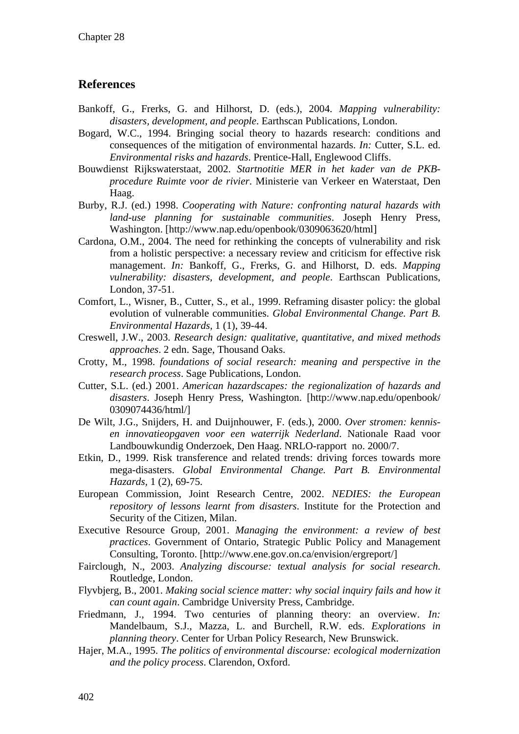## **References**

- Bankoff, G., Frerks, G. and Hilhorst, D. (eds.), 2004. *Mapping vulnerability: disasters, development, and people*. Earthscan Publications, London.
- Bogard, W.C., 1994. Bringing social theory to hazards research: conditions and consequences of the mitigation of environmental hazards. *In:* Cutter, S.L. ed. *Environmental risks and hazards*. Prentice-Hall, Englewood Cliffs.
- Bouwdienst Rijkswaterstaat, 2002. *Startnotitie MER in het kader van de PKBprocedure Ruimte voor de rivier*. Ministerie van Verkeer en Waterstaat, Den Haag.
- Burby, R.J. (ed.) 1998. *Cooperating with Nature: confronting natural hazards with land-use planning for sustainable communities*. Joseph Henry Press, Washington. [http://www.nap.edu/openbook/0309063620/html]
- Cardona, O.M., 2004. The need for rethinking the concepts of vulnerability and risk from a holistic perspective: a necessary review and criticism for effective risk management. *In:* Bankoff, G., Frerks, G. and Hilhorst, D. eds. *Mapping vulnerability: disasters, development, and people*. Earthscan Publications, London, 37-51.
- Comfort, L., Wisner, B., Cutter, S., et al., 1999. Reframing disaster policy: the global evolution of vulnerable communities. *Global Environmental Change. Part B. Environmental Hazards,* 1 (1), 39-44.
- Creswell, J.W., 2003. *Research design: qualitative, quantitative, and mixed methods approaches*. 2 edn. Sage, Thousand Oaks.
- Crotty, M., 1998. *foundations of social research: meaning and perspective in the research process*. Sage Publications, London.
- Cutter, S.L. (ed.) 2001. *American hazardscapes: the regionalization of hazards and disasters*. Joseph Henry Press, Washington. [http://www.nap.edu/openbook/ 0309074436/html/]
- De Wilt, J.G., Snijders, H. and Duijnhouwer, F. (eds.), 2000. *Over stromen: kennisen innovatieopgaven voor een waterrijk Nederland*. Nationale Raad voor Landbouwkundig Onderzoek, Den Haag. NRLO-rapport no. 2000/7.
- Etkin, D., 1999. Risk transference and related trends: driving forces towards more mega-disasters. *Global Environmental Change. Part B. Environmental Hazards,* 1 (2), 69-75.
- European Commission, Joint Research Centre, 2002. *NEDIES: the European repository of lessons learnt from disasters*. Institute for the Protection and Security of the Citizen, Milan.
- Executive Resource Group, 2001. *Managing the environment: a review of best practices*. Government of Ontario, Strategic Public Policy and Management Consulting, Toronto. [http://www.ene.gov.on.ca/envision/ergreport/]
- Fairclough, N., 2003. *Analyzing discourse: textual analysis for social research*. Routledge, London.
- Flyvbjerg, B., 2001. *Making social science matter: why social inquiry fails and how it can count again*. Cambridge University Press, Cambridge.
- Friedmann, J., 1994. Two centuries of planning theory: an overview. *In:* Mandelbaum, S.J., Mazza, L. and Burchell, R.W. eds. *Explorations in planning theory*. Center for Urban Policy Research, New Brunswick.
- Hajer, M.A., 1995. *The politics of environmental discourse: ecological modernization and the policy process*. Clarendon, Oxford.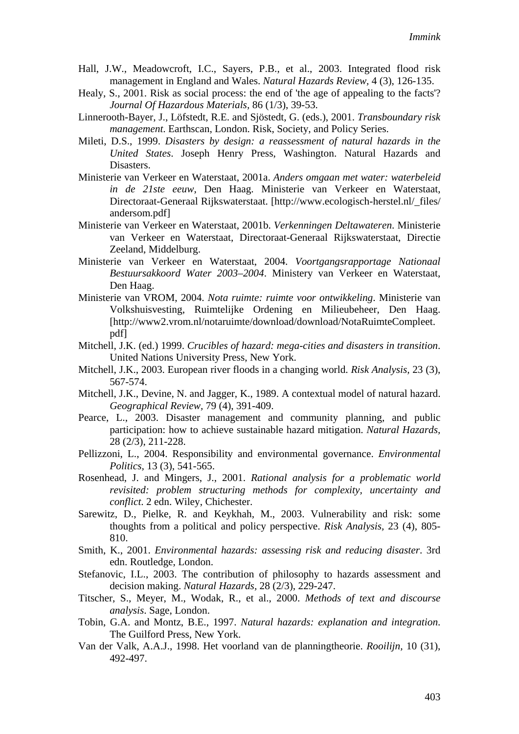- Hall, J.W., Meadowcroft, I.C., Sayers, P.B., et al., 2003. Integrated flood risk management in England and Wales. *Natural Hazards Review,* 4 (3), 126-135.
- Healy, S., 2001. Risk as social process: the end of 'the age of appealing to the facts'? *Journal Of Hazardous Materials,* 86 (1/3), 39-53.
- Linnerooth-Bayer, J., Löfstedt, R.E. and Sjöstedt, G. (eds.), 2001. *Transboundary risk management*. Earthscan, London. Risk, Society, and Policy Series.
- Mileti, D.S., 1999. *Disasters by design: a reassessment of natural hazards in the United States*. Joseph Henry Press, Washington. Natural Hazards and Disasters.
- Ministerie van Verkeer en Waterstaat, 2001a. *Anders omgaan met water: waterbeleid in de 21ste eeuw*, Den Haag. Ministerie van Verkeer en Waterstaat, Directoraat-Generaal Rijkswaterstaat. [http://www.ecologisch-herstel.nl/\_files/ andersom.pdf]
- Ministerie van Verkeer en Waterstaat, 2001b. *Verkenningen Deltawateren*. Ministerie van Verkeer en Waterstaat, Directoraat-Generaal Rijkswaterstaat, Directie Zeeland, Middelburg.
- Ministerie van Verkeer en Waterstaat, 2004. *Voortgangsrapportage Nationaal Bestuursakkoord Water 2003–2004*. Ministery van Verkeer en Waterstaat, Den Haag.
- Ministerie van VROM, 2004. *Nota ruimte: ruimte voor ontwikkeling*. Ministerie van Volkshuisvesting, Ruimtelijke Ordening en Milieubeheer, Den Haag. [http://www2.vrom.nl/notaruimte/download/download/NotaRuimteCompleet. pdf]
- Mitchell, J.K. (ed.) 1999. *Crucibles of hazard: mega-cities and disasters in transition*. United Nations University Press, New York.
- Mitchell, J.K., 2003. European river floods in a changing world. *Risk Analysis,* 23 (3), 567-574.
- Mitchell, J.K., Devine, N. and Jagger, K., 1989. A contextual model of natural hazard. *Geographical Review,* 79 (4), 391-409.
- Pearce, L., 2003. Disaster management and community planning, and public participation: how to achieve sustainable hazard mitigation. *Natural Hazards,* 28 (2/3), 211-228.
- Pellizzoni, L., 2004. Responsibility and environmental governance. *Environmental Politics,* 13 (3), 541-565.
- Rosenhead, J. and Mingers, J., 2001. *Rational analysis for a problematic world revisited: problem structuring methods for complexity, uncertainty and conflict*. 2 edn. Wiley, Chichester.
- Sarewitz, D., Pielke, R. and Keykhah, M., 2003. Vulnerability and risk: some thoughts from a political and policy perspective. *Risk Analysis,* 23 (4), 805- 810.
- Smith, K., 2001. *Environmental hazards: assessing risk and reducing disaster*. 3rd edn. Routledge, London.
- Stefanovic, I.L., 2003. The contribution of philosophy to hazards assessment and decision making. *Natural Hazards,* 28 (2/3), 229-247.
- Titscher, S., Meyer, M., Wodak, R., et al., 2000. *Methods of text and discourse analysis*. Sage, London.
- Tobin, G.A. and Montz, B.E., 1997. *Natural hazards: explanation and integration*. The Guilford Press, New York.
- Van der Valk, A.A.J., 1998. Het voorland van de planningtheorie. *Rooilijn,* 10 (31), 492-497.